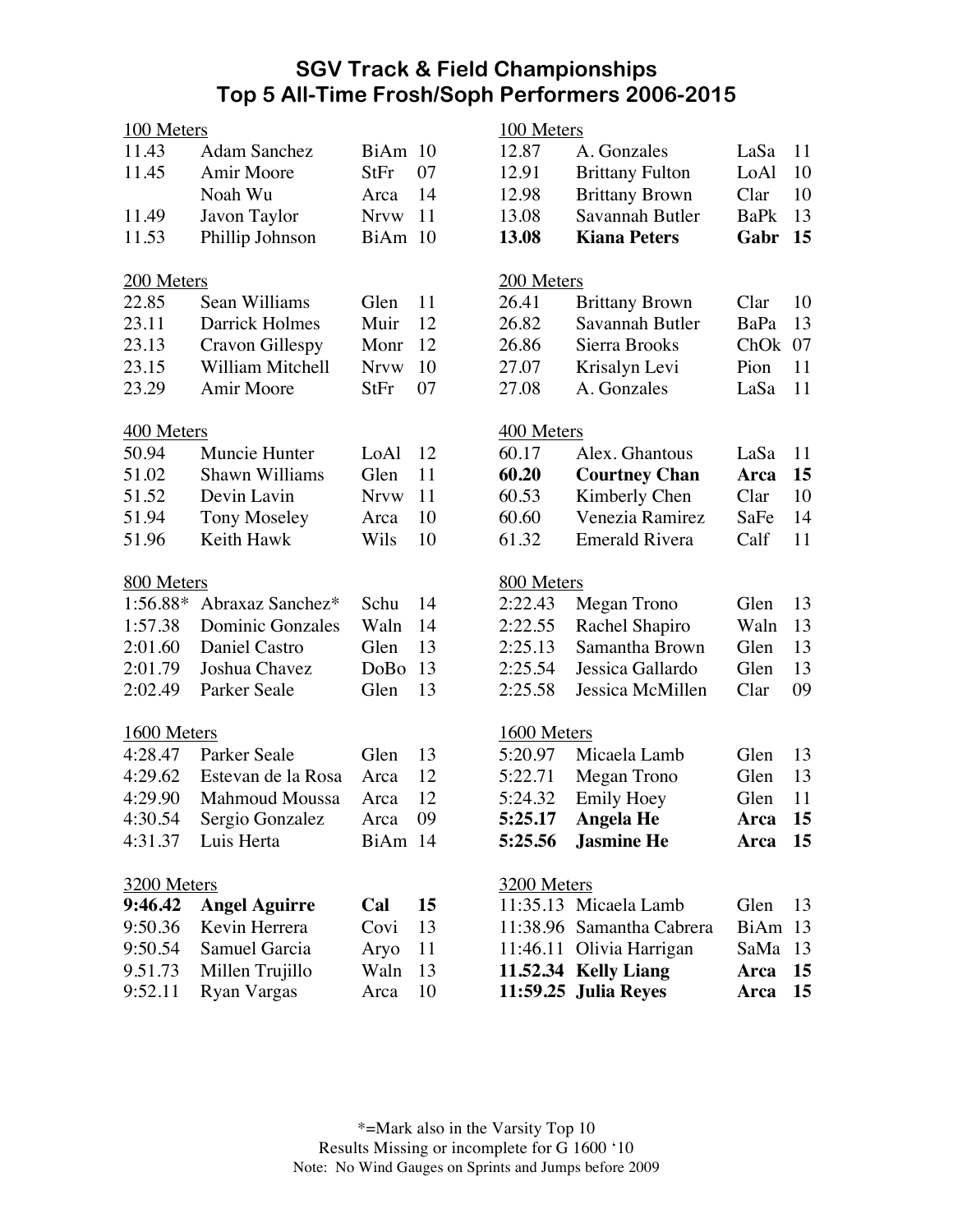## **SGV Track & Field Championships Top 5 All-Time Frosh/Soph Performers 2006-2015**

| 100 Meters             |                       |             |    | 100 Meters             |                           |             |                  |  |
|------------------------|-----------------------|-------------|----|------------------------|---------------------------|-------------|------------------|--|
| 11.43                  | <b>Adam Sanchez</b>   | BiAm 10     |    | 12.87                  | A. Gonzales               | LaSa        | 11               |  |
| 11.45                  | Amir Moore            | StFr        | 07 | 12.91                  | <b>Brittany Fulton</b>    | LoAl        | 10               |  |
|                        | Noah Wu               | Arca        | 14 | 12.98                  | <b>Brittany Brown</b>     | Clar        | 10               |  |
| 11.49                  | Javon Taylor          | <b>Nrvw</b> | 11 | 13.08                  | Savannah Butler           | <b>BaPk</b> | 13               |  |
| 11.53                  | Phillip Johnson       | BiAm 10     |    | 13.08                  | <b>Kiana Peters</b>       | Gabr        | 15               |  |
|                        |                       |             |    |                        |                           |             |                  |  |
| 200 Meters             |                       |             |    | 200 Meters             |                           |             |                  |  |
| 22.85                  | Sean Williams         | Glen        | 11 | 26.41                  | <b>Brittany Brown</b>     | Clar        | 10               |  |
| 23.11                  | <b>Darrick Holmes</b> | Muir        | 12 | 26.82                  | Savannah Butler           | BaPa        | 13               |  |
| 23.13                  | Cravon Gillespy       | Monr        | 12 | 26.86                  | Sierra Brooks             | ChOk 07     |                  |  |
| 23.15                  | William Mitchell      | <b>Nrvw</b> | 10 | 27.07                  | Krisalyn Levi             | Pion        | 11               |  |
| 23.29                  | Amir Moore            | StFr        | 07 | 27.08                  | A. Gonzales               | LaSa        | 11               |  |
| 400 Meters             |                       |             |    | 400 Meters             |                           |             |                  |  |
| 50.94                  | Muncie Hunter         | LoAl        | 12 | 60.17                  | Alex. Ghantous            | LaSa        | 11               |  |
| 51.02                  | Shawn Williams        | Glen        | 11 | 60.20                  | <b>Courtney Chan</b>      | Arca        | 15               |  |
| 51.52                  | Devin Lavin           | <b>Nrvw</b> | 11 | 60.53                  | Kimberly Chen             | Clar        | 10               |  |
| 51.94                  | <b>Tony Moseley</b>   | Arca        | 10 | 60.60                  | Venezia Ramirez           | SaFe        | 14               |  |
| 51.96                  | Keith Hawk            | Wils        | 10 | 61.32                  | <b>Emerald Rivera</b>     | Calf        | 11               |  |
|                        |                       |             |    |                        |                           |             |                  |  |
| 800 Meters             |                       |             |    | 800 Meters             |                           |             |                  |  |
| 1:56.88*               | Abraxaz Sanchez*      | Schu        | 14 | 2:22.43                | Megan Trono               | Glen        | 13               |  |
| 1:57.38                | Dominic Gonzales      | Waln        | 14 | 2:22.55                | Rachel Shapiro            | Waln        | 13               |  |
| 2:01.60                | Daniel Castro         | Glen        | 13 | 2:25.13                | Samantha Brown            | Glen        | 13               |  |
| 2:01.79                | Joshua Chavez         | DoBo        | 13 | 2:25.54                | Jessica Gallardo          | Glen        | 13               |  |
| 2:02.49                | Parker Seale          | Glen        | 13 | 2:25.58                | Jessica McMillen          | Clar        | 09               |  |
|                        |                       |             |    |                        |                           |             |                  |  |
| 1600 Meters<br>4:28.47 | Parker Seale          | Glen        | 13 | 1600 Meters<br>5:20.97 | Micaela Lamb              | Glen        | 13               |  |
|                        | Estevan de la Rosa    |             | 12 | 5:22.71                |                           |             |                  |  |
| 4:29.62                |                       | Arca        |    |                        | Megan Trono               | Glen        | 13               |  |
| 4:29.90                | <b>Mahmoud Moussa</b> | Arca        | 12 | 5:24.32                | <b>Emily Hoey</b>         | Glen        | 11               |  |
| 4:30.54                | Sergio Gonzalez       | Arca 09     |    | 5:25.17                | <b>Angela He</b>          | Arca        | 15 <sup>15</sup> |  |
| 4:31.37                | Luis Herta            | BiAm 14     |    | 5:25.56                | <b>Jasmine He</b>         | Arca        | 15               |  |
| 3200 Meters            |                       |             |    | 3200 Meters            |                           |             |                  |  |
| 9:46.42                | <b>Angel Aguirre</b>  | Cal         | 15 |                        | 11:35.13 Micaela Lamb     | Glen        | 13               |  |
| 9:50.36                | Kevin Herrera         | Covi        | 13 |                        | 11:38.96 Samantha Cabrera | BiAm 13     |                  |  |
| 9:50.54                | Samuel Garcia         | Aryo        | 11 |                        | 11:46.11 Olivia Harrigan  | SaMa 13     |                  |  |
| 9.51.73                | Millen Trujillo       | Waln        | 13 |                        | 11.52.34 Kelly Liang      | Arca        | 15               |  |
| 9:52.11                | <b>Ryan Vargas</b>    | Arca        | 10 |                        | 11:59.25 Julia Reyes      | Arca        | 15               |  |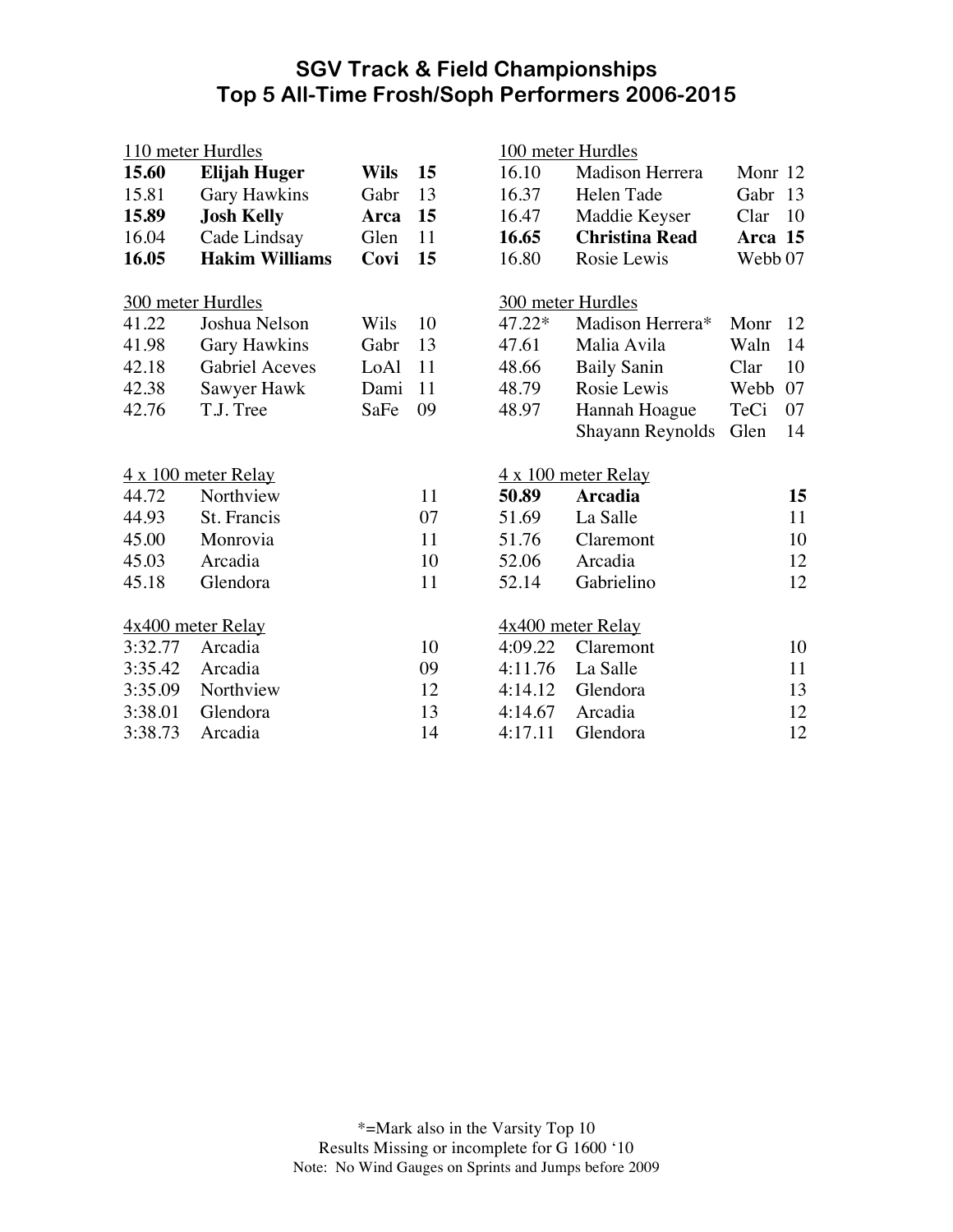## **SGV Track & Field Championships Top 5 All-Time Frosh/Soph Performers 2006-2015**

| 110 meter Hurdles  |                       |             |    | 100 meter Hurdles |                       |                    |          |
|--------------------|-----------------------|-------------|----|-------------------|-----------------------|--------------------|----------|
| 15.60              | <b>Elijah Huger</b>   | <b>Wils</b> | 15 | 16.10             | Madison Herrera       | Monr 12            |          |
| 15.81              | Gary Hawkins          | Gabr        | 13 | 16.37             | Helen Tade            | Gabr               | 13       |
| 15.89              | <b>Josh Kelly</b>     | Arca        | 15 | 16.47             | Maddie Keyser         | Clar               | 10       |
| 16.04              | Cade Lindsay          | Glen        | 11 | 16.65             | <b>Christina Read</b> | Arca 15            |          |
| 16.05              | <b>Hakim Williams</b> | Covi        | 15 | 16.80             | Rosie Lewis           | Webb <sub>07</sub> |          |
|                    | 300 meter Hurdles     |             |    |                   | 300 meter Hurdles     |                    |          |
| 41.22              | Joshua Nelson         | Wils        | 10 | 47.22*            | Madison Herrera*      | Monr               | 12       |
| 41.98              | <b>Gary Hawkins</b>   | Gabr        | 13 | 47.61             | Malia Avila           | Waln               | 14       |
| 42.18              | <b>Gabriel Aceves</b> | LoAl        | 11 | 48.66             | <b>Baily Sanin</b>    | Clar               | 10       |
| 42.38              | Sawyer Hawk           | Dami        | 11 | 48.79             | Rosie Lewis           | Webb               | 07       |
| 42.76              | T.J. Tree             | SaFe        | 09 | 48.97             | Hannah Hoague         | TeCi               | 07       |
|                    |                       |             |    |                   | Shayann Reynolds      | Glen               | 14       |
|                    | 4 x 100 meter Relay   |             |    |                   | 4 x 100 meter Relay   |                    |          |
| 44.72              | Northview             |             | 11 | 50.89             | <b>Arcadia</b>        |                    | 15       |
| 44.93              | St. Francis           |             | 07 | 51.69             | La Salle              |                    | 11       |
| 45.00              | Monrovia              |             | 11 | 51.76             | Claremont             |                    | 10       |
| 45.03              | Arcadia               |             | 10 | 52.06             | Arcadia               |                    | 12       |
| 45.18              | Glendora              |             | 11 | 52.14             | Gabrielino            |                    | 12       |
| 4x400 meter Relay  |                       |             |    |                   | $4x400$ meter Relay   |                    |          |
|                    |                       |             | 10 | 4:09.22           | Claremont             |                    | 10       |
|                    |                       |             |    |                   |                       |                    |          |
| 3:32.77<br>3:35.42 | Arcadia<br>Arcadia    |             | 09 | 4:11.76           | La Salle              |                    |          |
| 3:35.09            | Northview             |             | 12 | 4:14.12           | Glendora              |                    | 11       |
| 3:38.01            | Glendora              |             | 13 | 4:14.67           | Arcadia               |                    | 13<br>12 |